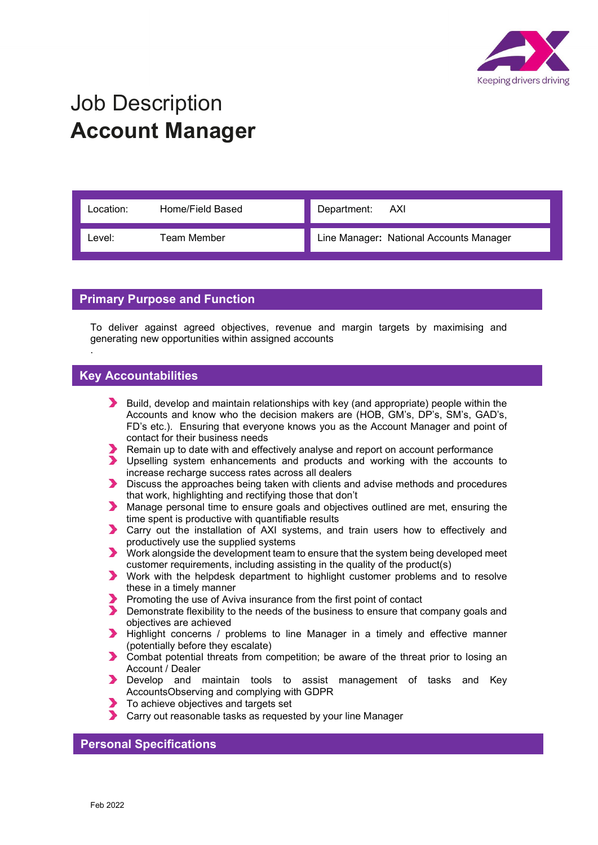

## Job Description Account Manager

| Location: I | Home/Field Based | Department: AXI                         |
|-------------|------------------|-----------------------------------------|
| Level:      | Team Member      | Line Manager: National Accounts Manager |

## Primary Purpose and Function

To deliver against agreed objectives, revenue and margin targets by maximising and generating new opportunities within assigned accounts

## Key Accountabilities

.

- Build, develop and maintain relationships with key (and appropriate) people within the Accounts and know who the decision makers are (HOB, GM's, DP's, SM's, GAD's, FD's etc.). Ensuring that everyone knows you as the Account Manager and point of contact for their business needs
- Remain up to date with and effectively analyse and report on account performance
- Upselling system enhancements and products and working with the accounts to increase recharge success rates across all dealers
- Discuss the approaches being taken with clients and advise methods and procedures that work, highlighting and rectifying those that don't
- Manage personal time to ensure goals and objectives outlined are met, ensuring the time spent is productive with quantifiable results
- Carry out the installation of AXI systems, and train users how to effectively and productively use the supplied systems
- Work alongside the development team to ensure that the system being developed meet customer requirements, including assisting in the quality of the product(s)
- Work with the helpdesk department to highlight customer problems and to resolve these in a timely manner
- Promoting the use of Aviva insurance from the first point of contact<br>
Demonstrate flexibility to the needs of the business to ensure that only
- Demonstrate flexibility to the needs of the business to ensure that company goals and objectives are achieved
- Highlight concerns / problems to line Manager in a timely and effective manner (potentially before they escalate)
- Combat potential threats from competition; be aware of the threat prior to losing an Account / Dealer
- **Develop and maintain tools to assist management of tasks and Key** AccountsObserving and complying with GDPR
- To achieve objectives and targets set
- Carry out reasonable tasks as requested by your line Manager

## Personal Specifications